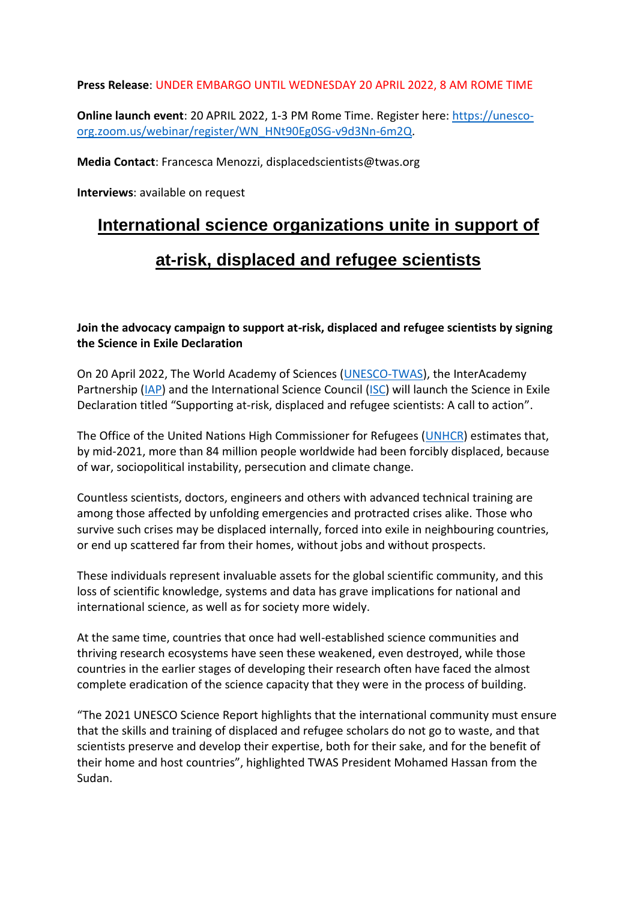**Press Release**: UNDER EMBARGO UNTIL WEDNESDAY 20 APRIL 2022, 8 AM ROME TIME

**Online launch event**: 20 APRIL 2022, 1-3 PM Rome Time. Register here: [https://unesco](https://unesco-org.zoom.us/webinar/register/WN_HNt90Eg0SG-v9d3Nn-6m2Q)[org.zoom.us/webinar/register/WN\\_HNt90Eg0SG-v9d3Nn-6m2Q.](https://unesco-org.zoom.us/webinar/register/WN_HNt90Eg0SG-v9d3Nn-6m2Q)

**Media Contact**: Francesca Menozzi, displacedscientists@twas.org

**Interviews**: available on request

## **International science organizations unite in support of**

## **at-risk, displaced and refugee scientists**

**Join the advocacy campaign to support at-risk, displaced and refugee scientists by signing the Science in Exile Declaration**

On 20 April 2022, The World Academy of Sciences [\(UNESCO-TWAS\)](http://www.twas.org/), the InterAcademy Partnership [\(IAP\)](https://www.interacademies.org/) and the International Science Council [\(ISC\)](https://council.science/) will launch the Science in Exile Declaration titled "Supporting at-risk, displaced and refugee scientists: A call to action".

The Office of the United Nations High Commissioner for Refugees [\(UNHCR\)](https://www.unhcr.org/refugee-statistics/) estimates that, by mid-2021, more than 84 million people worldwide had been forcibly displaced, because of war, sociopolitical instability, persecution and climate change.

Countless scientists, doctors, engineers and others with advanced technical training are among those affected by unfolding emergencies and protracted crises alike. Those who survive such crises may be displaced internally, forced into exile in neighbouring countries, or end up scattered far from their homes, without jobs and without prospects.

These individuals represent invaluable assets for the global scientific community, and this loss of scientific knowledge, systems and data has grave implications for national and international science, as well as for society more widely.

At the same time, countries that once had well-established science communities and thriving research ecosystems have seen these weakened, even destroyed, while those countries in the earlier stages of developing their research often have faced the almost complete eradication of the science capacity that they were in the process of building.

"The 2021 UNESCO Science Report highlights that the international community must ensure that the skills and training of displaced and refugee scholars do not go to waste, and that scientists preserve and develop their expertise, both for their sake, and for the benefit of their home and host countries", highlighted TWAS President Mohamed Hassan from the Sudan.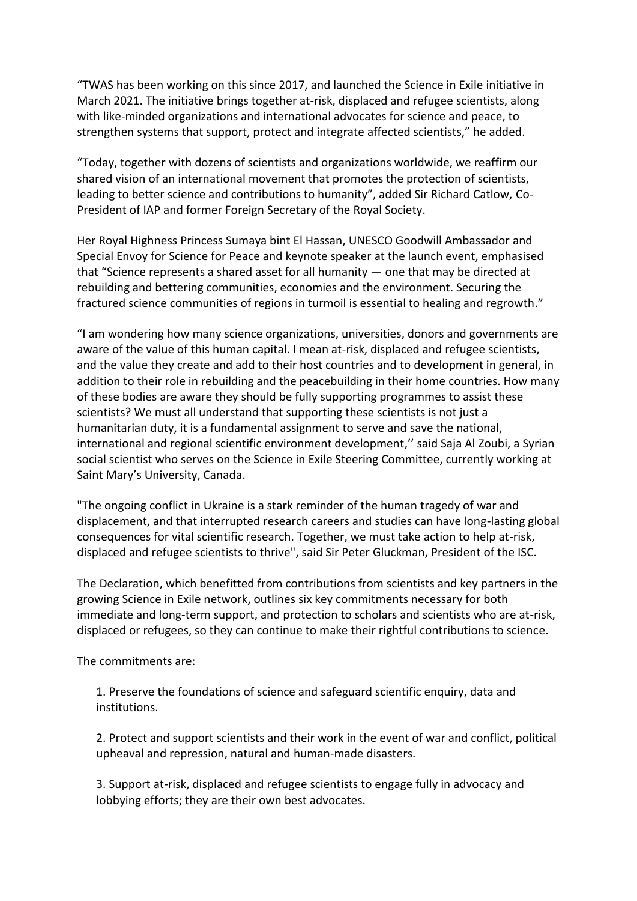"TWAS has been working on this since 2017, and launched the Science in Exile initiative in March 2021. The initiative brings together at-risk, displaced and refugee scientists, along with like-minded organizations and international advocates for science and peace, to strengthen systems that support, protect and integrate affected scientists," he added.

"Today, together with dozens of scientists and organizations worldwide, we reaffirm our shared vision of an international movement that promotes the protection of scientists, leading to better science and contributions to humanity", added Sir Richard Catlow, Co-President of IAP and former Foreign Secretary of the Royal Society.

Her Royal Highness Princess Sumaya bint El Hassan, UNESCO Goodwill Ambassador and Special Envoy for Science for Peace and keynote speaker at the launch event, emphasised that "Science represents a shared asset for all humanity — one that may be directed at rebuilding and bettering communities, economies and the environment. Securing the fractured science communities of regions in turmoil is essential to healing and regrowth."

"I am wondering how many science organizations, universities, donors and governments are aware of the value of this human capital. I mean at-risk, displaced and refugee scientists, and the value they create and add to their host countries and to development in general, in addition to their role in rebuilding and the peacebuilding in their home countries. How many of these bodies are aware they should be fully supporting programmes to assist these scientists? We must all understand that supporting these scientists is not just a humanitarian duty, it is a fundamental assignment to serve and save the national, international and regional scientific environment development," said Saja Al Zoubi, a Syrian social scientist who serves on the Science in Exile Steering Committee, currently working at Saint Mary's University, Canada.

"The ongoing conflict in Ukraine is a stark reminder of the human tragedy of war and displacement, and that interrupted research careers and studies can have long-lasting global consequences for vital scientific research. Together, we must take action to help at-risk, displaced and refugee scientists to thrive", said Sir Peter Gluckman, President of the ISC.

The Declaration, which benefitted from contributions from scientists and key partners in the growing Science in Exile network, outlines six key commitments necessary for both immediate and long-term support, and protection to scholars and scientists who are at-risk, displaced or refugees, so they can continue to make their rightful contributions to science.

The commitments are:

1. Preserve the foundations of science and safeguard scientific enquiry, data and institutions.

2. Protect and support scientists and their work in the event of war and conflict, political upheaval and repression, natural and human-made disasters.

3. Support at-risk, displaced and refugee scientists to engage fully in advocacy and lobbying efforts; they are their own best advocates.